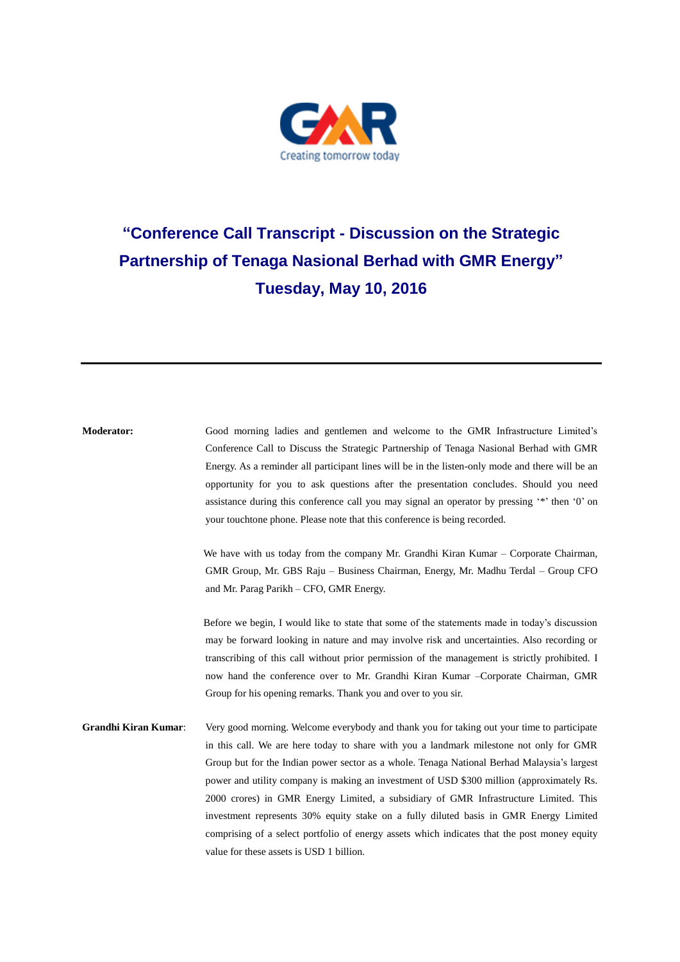

## **"Conference Call Transcript - Discussion on the Strategic Partnership of Tenaga Nasional Berhad with GMR Energy" Tuesday, May 10, 2016**

| <b>Moderator:</b>           | Good morning ladies and gentlemen and welcome to the GMR Infrastructure Limited's<br>Conference Call to Discuss the Strategic Partnership of Tenaga Nasional Berhad with GMR<br>Energy. As a reminder all participant lines will be in the listen-only mode and there will be an<br>opportunity for you to ask questions after the presentation concludes. Should you need<br>assistance during this conference call you may signal an operator by pressing "*" then '0" on<br>your touchtone phone. Please note that this conference is being recorded.                                                                                                                                                       |
|-----------------------------|----------------------------------------------------------------------------------------------------------------------------------------------------------------------------------------------------------------------------------------------------------------------------------------------------------------------------------------------------------------------------------------------------------------------------------------------------------------------------------------------------------------------------------------------------------------------------------------------------------------------------------------------------------------------------------------------------------------|
|                             | We have with us today from the company Mr. Grandhi Kiran Kumar – Corporate Chairman,<br>GMR Group, Mr. GBS Raju – Business Chairman, Energy, Mr. Madhu Terdal – Group CFO<br>and Mr. Parag Parikh – CFO, GMR Energy.                                                                                                                                                                                                                                                                                                                                                                                                                                                                                           |
|                             | Before we begin, I would like to state that some of the statements made in today's discussion<br>may be forward looking in nature and may involve risk and uncertainties. Also recording or<br>transcribing of this call without prior permission of the management is strictly prohibited. I<br>now hand the conference over to Mr. Grandhi Kiran Kumar - Corporate Chairman, GMR<br>Group for his opening remarks. Thank you and over to you sir.                                                                                                                                                                                                                                                            |
| <b>Grandhi Kiran Kumar:</b> | Very good morning. Welcome everybody and thank you for taking out your time to participate<br>in this call. We are here today to share with you a landmark milestone not only for GMR<br>Group but for the Indian power sector as a whole. Tenaga National Berhad Malaysia's largest<br>power and utility company is making an investment of USD \$300 million (approximately Rs.<br>2000 crores) in GMR Energy Limited, a subsidiary of GMR Infrastructure Limited. This<br>investment represents 30% equity stake on a fully diluted basis in GMR Energy Limited<br>comprising of a select portfolio of energy assets which indicates that the post money equity<br>value for these assets is USD 1 billion. |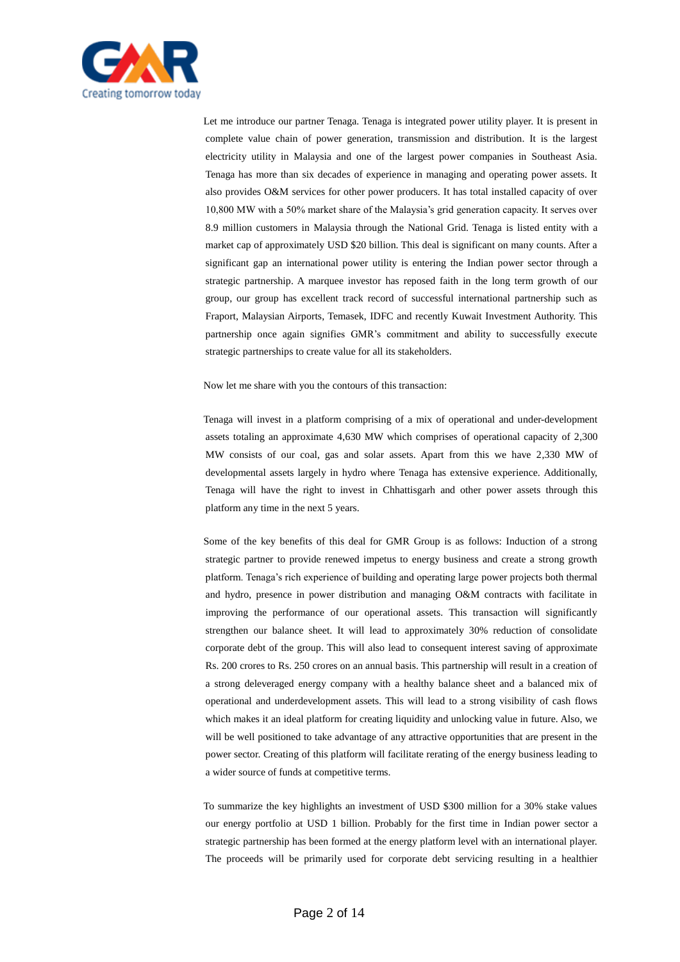

Let me introduce our partner Tenaga. Tenaga is integrated power utility player. It is present in complete value chain of power generation, transmission and distribution. It is the largest electricity utility in Malaysia and one of the largest power companies in Southeast Asia. Tenaga has more than six decades of experience in managing and operating power assets. It also provides O&M services for other power producers. It has total installed capacity of over 10,800 MW with a 50% market share of the Malaysia's grid generation capacity. It serves over 8.9 million customers in Malaysia through the National Grid. Tenaga is listed entity with a market cap of approximately USD \$20 billion. This deal is significant on many counts. After a significant gap an international power utility is entering the Indian power sector through a strategic partnership. A marquee investor has reposed faith in the long term growth of our group, our group has excellent track record of successful international partnership such as Fraport, Malaysian Airports, Temasek, IDFC and recently Kuwait Investment Authority. This partnership once again signifies GMR's commitment and ability to successfully execute strategic partnerships to create value for all its stakeholders.

Now let me share with you the contours of this transaction:

Tenaga will invest in a platform comprising of a mix of operational and under-development assets totaling an approximate 4,630 MW which comprises of operational capacity of 2,300 MW consists of our coal, gas and solar assets. Apart from this we have 2,330 MW of developmental assets largely in hydro where Tenaga has extensive experience. Additionally, Tenaga will have the right to invest in Chhattisgarh and other power assets through this platform any time in the next 5 years.

Some of the key benefits of this deal for GMR Group is as follows: Induction of a strong strategic partner to provide renewed impetus to energy business and create a strong growth platform. Tenaga's rich experience of building and operating large power projects both thermal and hydro, presence in power distribution and managing O&M contracts with facilitate in improving the performance of our operational assets. This transaction will significantly strengthen our balance sheet. It will lead to approximately 30% reduction of consolidate corporate debt of the group. This will also lead to consequent interest saving of approximate Rs. 200 crores to Rs. 250 crores on an annual basis. This partnership will result in a creation of a strong deleveraged energy company with a healthy balance sheet and a balanced mix of operational and underdevelopment assets. This will lead to a strong visibility of cash flows which makes it an ideal platform for creating liquidity and unlocking value in future. Also, we will be well positioned to take advantage of any attractive opportunities that are present in the power sector. Creating of this platform will facilitate rerating of the energy business leading to a wider source of funds at competitive terms.

To summarize the key highlights an investment of USD \$300 million for a 30% stake values our energy portfolio at USD 1 billion. Probably for the first time in Indian power sector a strategic partnership has been formed at the energy platform level with an international player. The proceeds will be primarily used for corporate debt servicing resulting in a healthier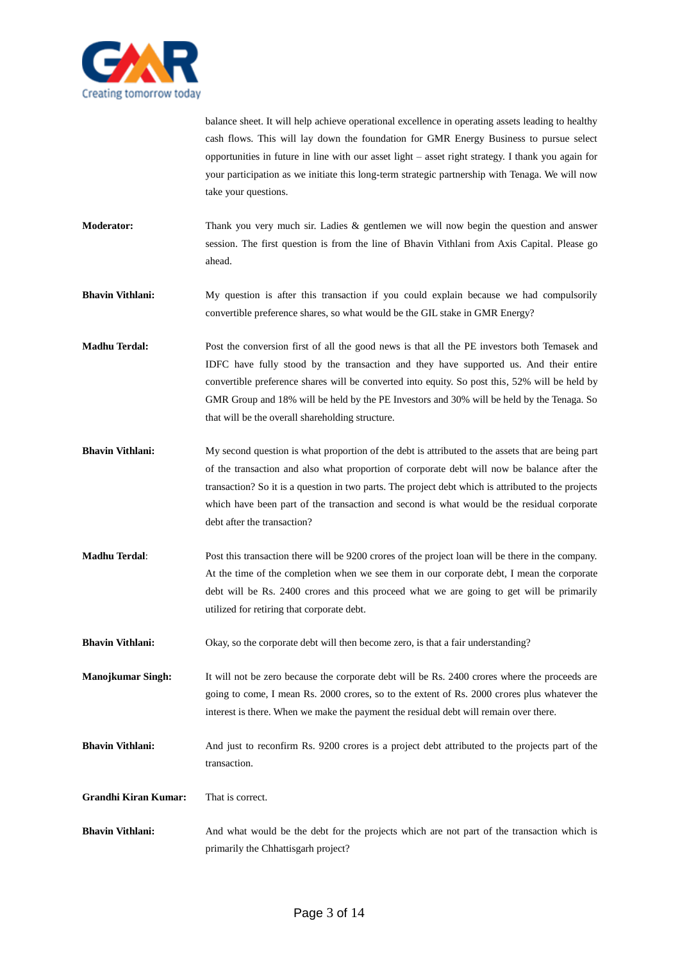

balance sheet. It will help achieve operational excellence in operating assets leading to healthy cash flows. This will lay down the foundation for GMR Energy Business to pursue select opportunities in future in line with our asset light – asset right strategy. I thank you again for your participation as we initiate this long-term strategic partnership with Tenaga. We will now take your questions.

**Moderator:** Thank you very much sir. Ladies & gentlemen we will now begin the question and answer session. The first question is from the line of Bhavin Vithlani from Axis Capital. Please go ahead.

**Bhavin Vithlani:** My question is after this transaction if you could explain because we had compulsorily convertible preference shares, so what would be the GIL stake in GMR Energy?

- **Madhu Terdal:** Post the conversion first of all the good news is that all the PE investors both Temasek and IDFC have fully stood by the transaction and they have supported us. And their entire convertible preference shares will be converted into equity. So post this, 52% will be held by GMR Group and 18% will be held by the PE Investors and 30% will be held by the Tenaga. So that will be the overall shareholding structure.
- **Bhavin Vithlani:** My second question is what proportion of the debt is attributed to the assets that are being part of the transaction and also what proportion of corporate debt will now be balance after the transaction? So it is a question in two parts. The project debt which is attributed to the projects which have been part of the transaction and second is what would be the residual corporate debt after the transaction?
- **Madhu Terdal**: Post this transaction there will be 9200 crores of the project loan will be there in the company. At the time of the completion when we see them in our corporate debt, I mean the corporate debt will be Rs. 2400 crores and this proceed what we are going to get will be primarily utilized for retiring that corporate debt.
- **Bhavin Vithlani:** Okay, so the corporate debt will then become zero, is that a fair understanding?

**Manojkumar Singh:** It will not be zero because the corporate debt will be Rs. 2400 crores where the proceeds are going to come, I mean Rs. 2000 crores, so to the extent of Rs. 2000 crores plus whatever the interest is there. When we make the payment the residual debt will remain over there.

**Bhavin Vithlani:** And just to reconfirm Rs. 9200 crores is a project debt attributed to the projects part of the transaction.

**Grandhi Kiran Kumar:** That is correct.

**Bhavin Vithlani:** And what would be the debt for the projects which are not part of the transaction which is primarily the Chhattisgarh project?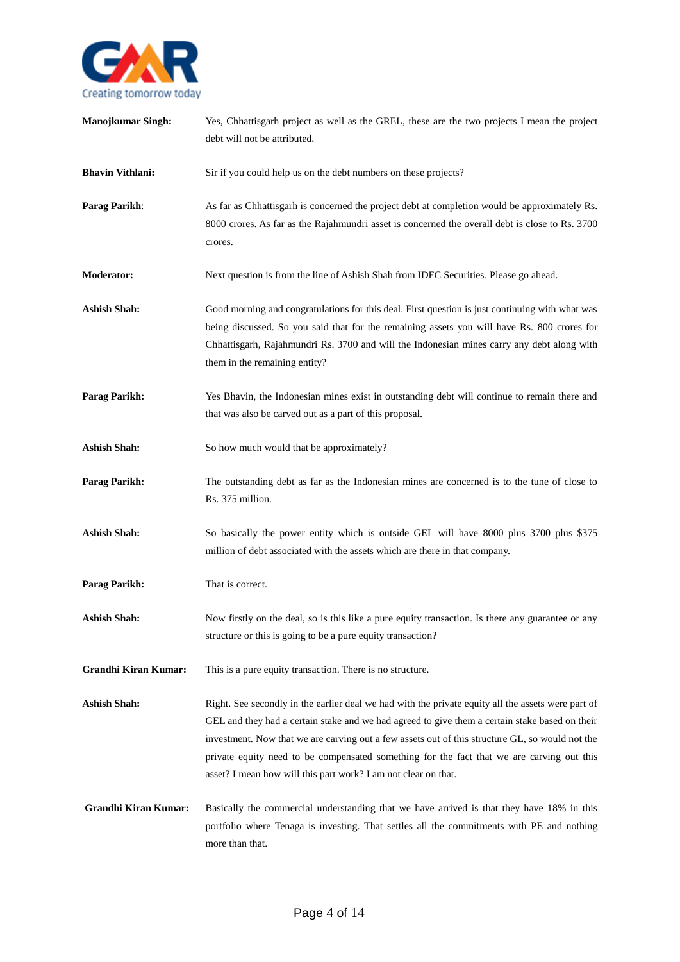

| <b>Manojkumar Singh:</b>    | Yes, Chhattisgarh project as well as the GREL, these are the two projects I mean the project<br>debt will not be attributed.                                                                                                                                                                                                                                                                                                                                           |
|-----------------------------|------------------------------------------------------------------------------------------------------------------------------------------------------------------------------------------------------------------------------------------------------------------------------------------------------------------------------------------------------------------------------------------------------------------------------------------------------------------------|
| <b>Bhavin Vithlani:</b>     | Sir if you could help us on the debt numbers on these projects?                                                                                                                                                                                                                                                                                                                                                                                                        |
| Parag Parikh:               | As far as Chhattisgarh is concerned the project debt at completion would be approximately Rs.<br>8000 crores. As far as the Rajahmundri asset is concerned the overall debt is close to Rs. 3700<br>crores.                                                                                                                                                                                                                                                            |
| <b>Moderator:</b>           | Next question is from the line of Ashish Shah from IDFC Securities. Please go ahead.                                                                                                                                                                                                                                                                                                                                                                                   |
| <b>Ashish Shah:</b>         | Good morning and congratulations for this deal. First question is just continuing with what was<br>being discussed. So you said that for the remaining assets you will have Rs. 800 crores for<br>Chhattisgarh, Rajahmundri Rs. 3700 and will the Indonesian mines carry any debt along with<br>them in the remaining entity?                                                                                                                                          |
| Parag Parikh:               | Yes Bhavin, the Indonesian mines exist in outstanding debt will continue to remain there and<br>that was also be carved out as a part of this proposal.                                                                                                                                                                                                                                                                                                                |
| <b>Ashish Shah:</b>         | So how much would that be approximately?                                                                                                                                                                                                                                                                                                                                                                                                                               |
| <b>Parag Parikh:</b>        | The outstanding debt as far as the Indonesian mines are concerned is to the tune of close to<br>Rs. 375 million.                                                                                                                                                                                                                                                                                                                                                       |
| <b>Ashish Shah:</b>         | So basically the power entity which is outside GEL will have 8000 plus 3700 plus \$375<br>million of debt associated with the assets which are there in that company.                                                                                                                                                                                                                                                                                                  |
| <b>Parag Parikh:</b>        | That is correct.                                                                                                                                                                                                                                                                                                                                                                                                                                                       |
| <b>Ashish Shah:</b>         | Now firstly on the deal, so is this like a pure equity transaction. Is there any guarantee or any<br>structure or this is going to be a pure equity transaction?                                                                                                                                                                                                                                                                                                       |
| <b>Grandhi Kiran Kumar:</b> | This is a pure equity transaction. There is no structure.                                                                                                                                                                                                                                                                                                                                                                                                              |
| <b>Ashish Shah:</b>         | Right. See secondly in the earlier deal we had with the private equity all the assets were part of<br>GEL and they had a certain stake and we had agreed to give them a certain stake based on their<br>investment. Now that we are carving out a few assets out of this structure GL, so would not the<br>private equity need to be compensated something for the fact that we are carving out this<br>asset? I mean how will this part work? I am not clear on that. |
| <b>Grandhi Kiran Kumar:</b> | Basically the commercial understanding that we have arrived is that they have 18% in this<br>portfolio where Tenaga is investing. That settles all the commitments with PE and nothing<br>more than that.                                                                                                                                                                                                                                                              |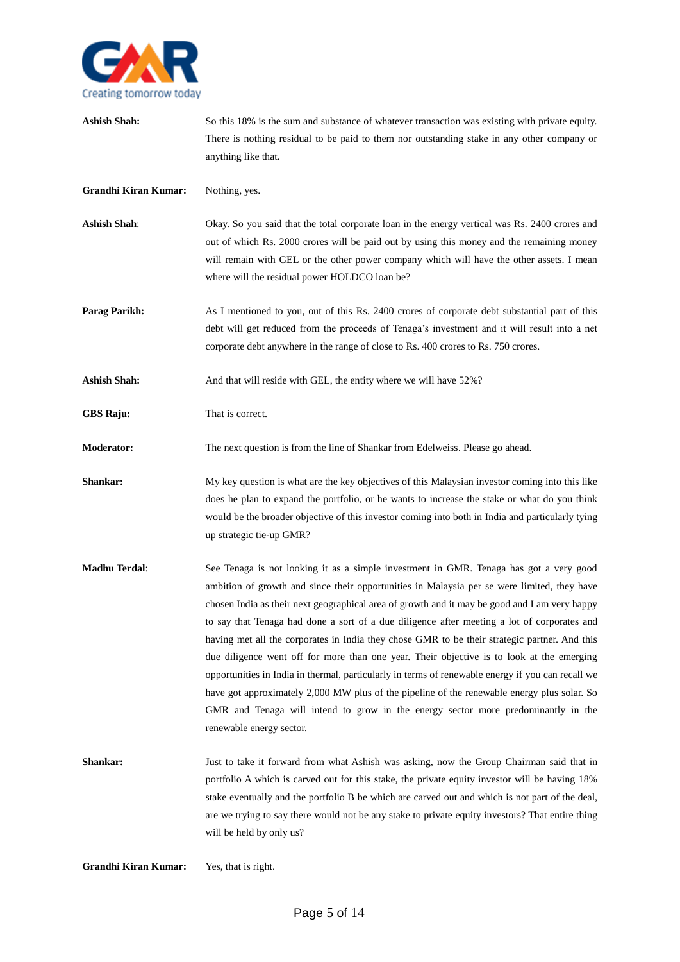

**Ashish Shah:** So this 18% is the sum and substance of whatever transaction was existing with private equity. There is nothing residual to be paid to them nor outstanding stake in any other company or anything like that.

**Grandhi Kiran Kumar:** Nothing, yes.

- Ashish Shah: Okay. So you said that the total corporate loan in the energy vertical was Rs. 2400 crores and out of which Rs. 2000 crores will be paid out by using this money and the remaining money will remain with GEL or the other power company which will have the other assets. I mean where will the residual power HOLDCO loan be?
- **Parag Parikh:** As I mentioned to you, out of this Rs. 2400 crores of corporate debt substantial part of this debt will get reduced from the proceeds of Tenaga's investment and it will result into a net corporate debt anywhere in the range of close to Rs. 400 crores to Rs. 750 crores.

**Ashish Shah:** And that will reside with GEL, the entity where we will have 52%?

**GBS Raju:** That is correct.

**Moderator:** The next question is from the line of Shankar from Edelweiss. Please go ahead.

- **Shankar:** My key question is what are the key objectives of this Malaysian investor coming into this like does he plan to expand the portfolio, or he wants to increase the stake or what do you think would be the broader objective of this investor coming into both in India and particularly tying up strategic tie-up GMR?
- **Madhu Terdal**: See Tenaga is not looking it as a simple investment in GMR. Tenaga has got a very good ambition of growth and since their opportunities in Malaysia per se were limited, they have chosen India as their next geographical area of growth and it may be good and I am very happy to say that Tenaga had done a sort of a due diligence after meeting a lot of corporates and having met all the corporates in India they chose GMR to be their strategic partner. And this due diligence went off for more than one year. Their objective is to look at the emerging opportunities in India in thermal, particularly in terms of renewable energy if you can recall we have got approximately 2,000 MW plus of the pipeline of the renewable energy plus solar. So GMR and Tenaga will intend to grow in the energy sector more predominantly in the renewable energy sector.
- **Shankar:** Just to take it forward from what Ashish was asking, now the Group Chairman said that in portfolio A which is carved out for this stake, the private equity investor will be having 18% stake eventually and the portfolio B be which are carved out and which is not part of the deal, are we trying to say there would not be any stake to private equity investors? That entire thing will be held by only us?

**Grandhi Kiran Kumar:** Yes, that is right.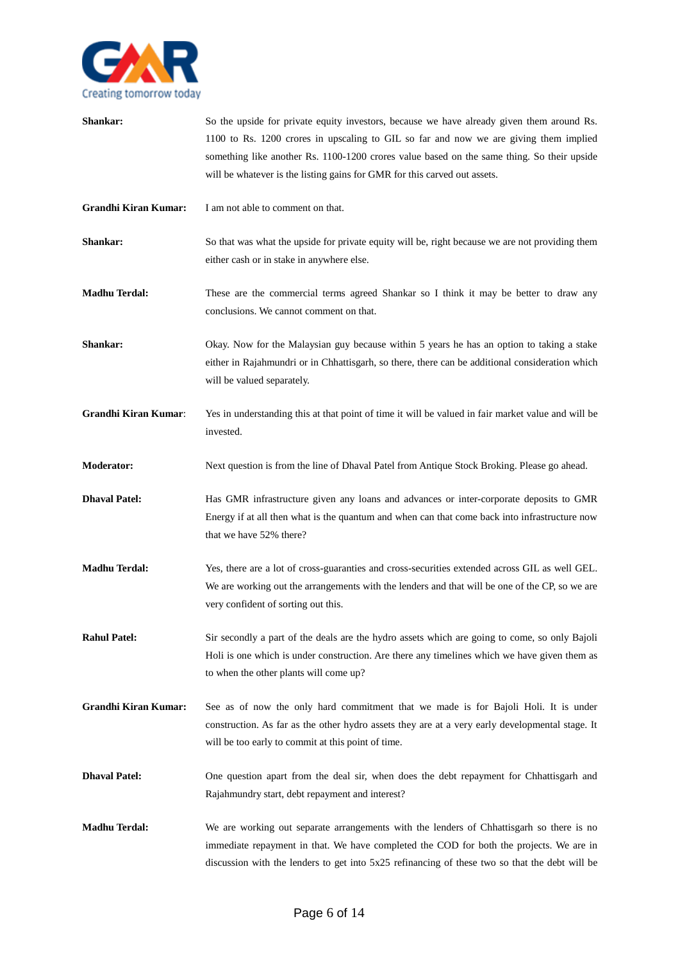

| Shankar:                    | So the upside for private equity investors, because we have already given them around Rs.<br>1100 to Rs. 1200 crores in upscaling to GIL so far and now we are giving them implied<br>something like another Rs. 1100-1200 crores value based on the same thing. So their upside<br>will be whatever is the listing gains for GMR for this carved out assets. |
|-----------------------------|---------------------------------------------------------------------------------------------------------------------------------------------------------------------------------------------------------------------------------------------------------------------------------------------------------------------------------------------------------------|
| <b>Grandhi Kiran Kumar:</b> | I am not able to comment on that.                                                                                                                                                                                                                                                                                                                             |
| Shankar:                    | So that was what the upside for private equity will be, right because we are not providing them<br>either cash or in stake in anywhere else.                                                                                                                                                                                                                  |
| <b>Madhu Terdal:</b>        | These are the commercial terms agreed Shankar so I think it may be better to draw any<br>conclusions. We cannot comment on that.                                                                                                                                                                                                                              |
| Shankar:                    | Okay. Now for the Malaysian guy because within 5 years he has an option to taking a stake<br>either in Rajahmundri or in Chhattisgarh, so there, there can be additional consideration which<br>will be valued separately.                                                                                                                                    |
| <b>Grandhi Kiran Kumar:</b> | Yes in understanding this at that point of time it will be valued in fair market value and will be<br>invested.                                                                                                                                                                                                                                               |
| <b>Moderator:</b>           | Next question is from the line of Dhaval Patel from Antique Stock Broking. Please go ahead.                                                                                                                                                                                                                                                                   |
| <b>Dhaval Patel:</b>        | Has GMR infrastructure given any loans and advances or inter-corporate deposits to GMR<br>Energy if at all then what is the quantum and when can that come back into infrastructure now<br>that we have 52% there?                                                                                                                                            |
| <b>Madhu Terdal:</b>        | Yes, there are a lot of cross-guaranties and cross-securities extended across GIL as well GEL.<br>We are working out the arrangements with the lenders and that will be one of the CP, so we are<br>very confident of sorting out this.                                                                                                                       |
| <b>Rahul Patel:</b>         | Sir secondly a part of the deals are the hydro assets which are going to come, so only Bajoli<br>Holi is one which is under construction. Are there any timelines which we have given them as<br>to when the other plants will come up?                                                                                                                       |
| <b>Grandhi Kiran Kumar:</b> | See as of now the only hard commitment that we made is for Bajoli Holi. It is under<br>construction. As far as the other hydro assets they are at a very early developmental stage. It<br>will be too early to commit at this point of time.                                                                                                                  |
| <b>Dhaval Patel:</b>        | One question apart from the deal sir, when does the debt repayment for Chhattisgarh and<br>Rajahmundry start, debt repayment and interest?                                                                                                                                                                                                                    |
| <b>Madhu Terdal:</b>        | We are working out separate arrangements with the lenders of Chhattisgarh so there is no<br>immediate repayment in that. We have completed the COD for both the projects. We are in<br>discussion with the lenders to get into 5x25 refinancing of these two so that the debt will be                                                                         |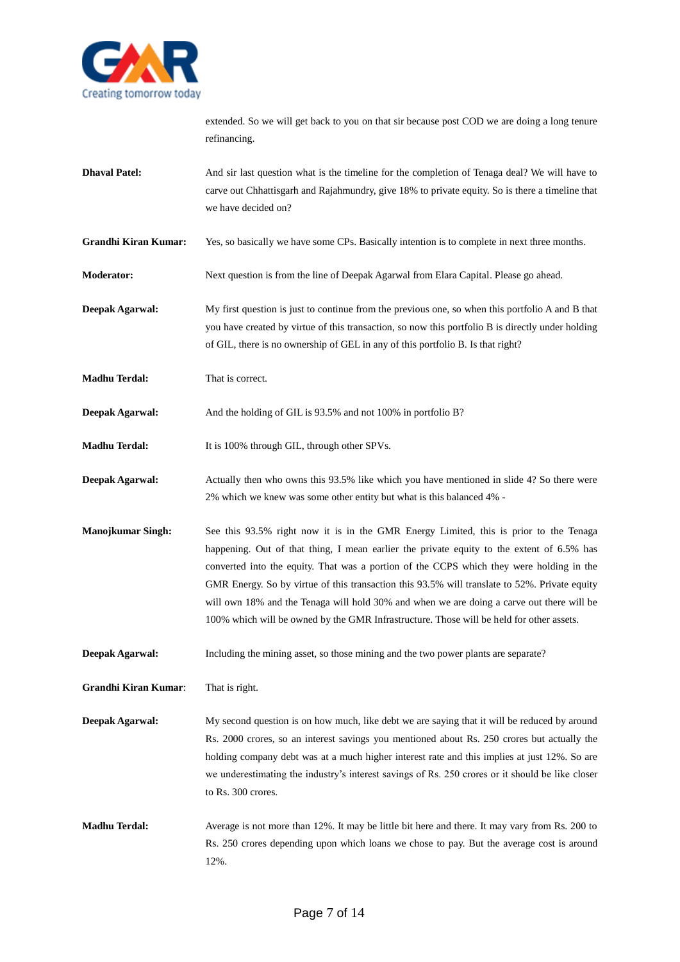

extended. So we will get back to you on that sir because post COD we are doing a long tenure refinancing.

- **Dhaval Patel:** And sir last question what is the timeline for the completion of Tenaga deal? We will have to carve out Chhattisgarh and Rajahmundry, give 18% to private equity. So is there a timeline that we have decided on?
- **Grandhi Kiran Kumar:** Yes, so basically we have some CPs. Basically intention is to complete in next three months.
- **Moderator:** Next question is from the line of Deepak Agarwal from Elara Capital. Please go ahead.
- **Deepak Agarwal:** My first question is just to continue from the previous one, so when this portfolio A and B that you have created by virtue of this transaction, so now this portfolio B is directly under holding of GIL, there is no ownership of GEL in any of this portfolio B. Is that right?
- **Madhu Terdal:** That is correct.

**Deepak Agarwal:** And the holding of GIL is 93.5% and not 100% in portfolio B?

- **Madhu Terdal:** It is 100% through GIL, through other SPVs.
- **Deepak Agarwal:** Actually then who owns this 93.5% like which you have mentioned in slide 4? So there were 2% which we knew was some other entity but what is this balanced 4% -
- **Manojkumar Singh:** See this 93.5% right now it is in the GMR Energy Limited, this is prior to the Tenaga happening. Out of that thing, I mean earlier the private equity to the extent of 6.5% has converted into the equity. That was a portion of the CCPS which they were holding in the GMR Energy. So by virtue of this transaction this 93.5% will translate to 52%. Private equity will own 18% and the Tenaga will hold 30% and when we are doing a carve out there will be 100% which will be owned by the GMR Infrastructure. Those will be held for other assets.
- **Deepak Agarwal:** Including the mining asset, so those mining and the two power plants are separate?

**Grandhi Kiran Kumar**: That is right.

- **Deepak Agarwal:** My second question is on how much, like debt we are saying that it will be reduced by around Rs. 2000 crores, so an interest savings you mentioned about Rs. 250 crores but actually the holding company debt was at a much higher interest rate and this implies at just 12%. So are we underestimating the industry's interest savings of Rs. 250 crores or it should be like closer to Rs. 300 crores.
- **Madhu Terdal:** Average is not more than 12%. It may be little bit here and there. It may vary from Rs. 200 to Rs. 250 crores depending upon which loans we chose to pay. But the average cost is around 12%.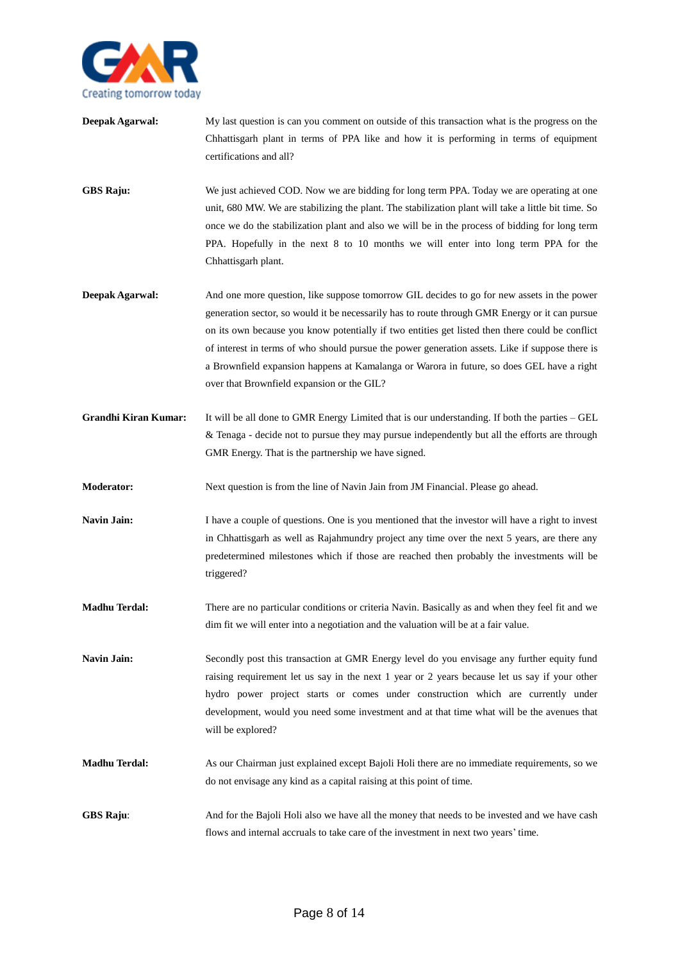

**Deepak Agarwal:** My last question is can you comment on outside of this transaction what is the progress on the Chhattisgarh plant in terms of PPA like and how it is performing in terms of equipment certifications and all?

**GBS Raju:** We just achieved COD. Now we are bidding for long term PPA. Today we are operating at one unit, 680 MW. We are stabilizing the plant. The stabilization plant will take a little bit time. So once we do the stabilization plant and also we will be in the process of bidding for long term PPA. Hopefully in the next 8 to 10 months we will enter into long term PPA for the Chhattisgarh plant.

- **Deepak Agarwal:** And one more question, like suppose tomorrow GIL decides to go for new assets in the power generation sector, so would it be necessarily has to route through GMR Energy or it can pursue on its own because you know potentially if two entities get listed then there could be conflict of interest in terms of who should pursue the power generation assets. Like if suppose there is a Brownfield expansion happens at Kamalanga or Warora in future, so does GEL have a right over that Brownfield expansion or the GIL?
- **Grandhi Kiran Kumar:** It will be all done to GMR Energy Limited that is our understanding. If both the parties GEL & Tenaga - decide not to pursue they may pursue independently but all the efforts are through GMR Energy. That is the partnership we have signed.
- **Moderator:** Next question is from the line of Navin Jain from JM Financial. Please go ahead.

**Navin Jain:** I have a couple of questions. One is you mentioned that the investor will have a right to invest in Chhattisgarh as well as Rajahmundry project any time over the next 5 years, are there any predetermined milestones which if those are reached then probably the investments will be triggered?

- **Madhu Terdal:** There are no particular conditions or criteria Navin. Basically as and when they feel fit and we dim fit we will enter into a negotiation and the valuation will be at a fair value.
- **Navin Jain:** Secondly post this transaction at GMR Energy level do you envisage any further equity fund raising requirement let us say in the next 1 year or 2 years because let us say if your other hydro power project starts or comes under construction which are currently under development, would you need some investment and at that time what will be the avenues that will be explored?
- **Madhu Terdal:** As our Chairman just explained except Bajoli Holi there are no immediate requirements, so we do not envisage any kind as a capital raising at this point of time.
- **GBS Raju:** And for the Bajoli Holi also we have all the money that needs to be invested and we have cash flows and internal accruals to take care of the investment in next two years' time.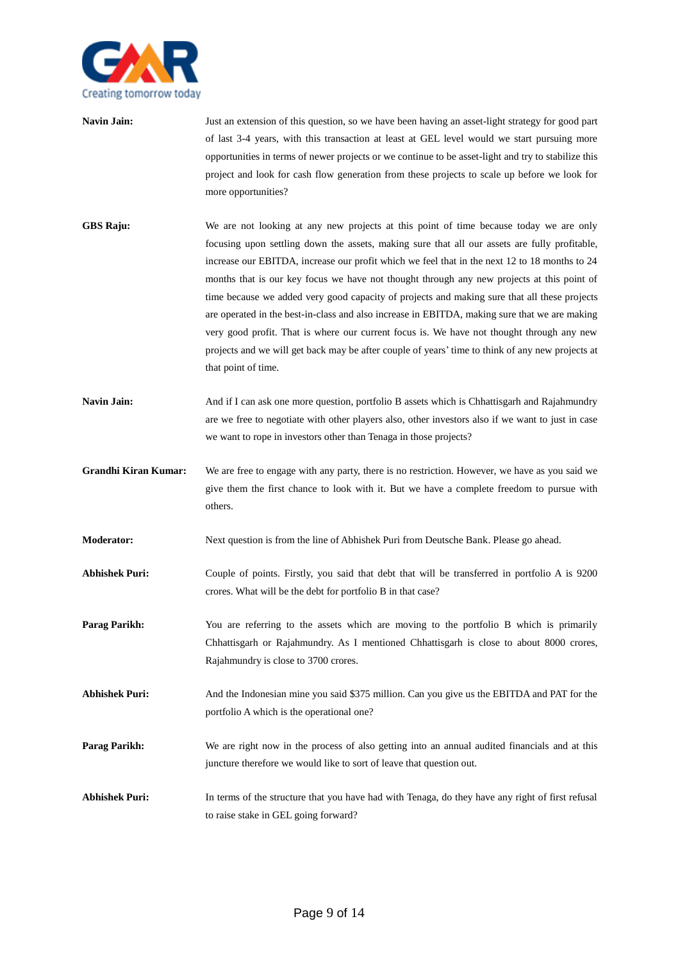

- **Navin Jain:** Just an extension of this question, so we have been having an asset-light strategy for good part of last 3-4 years, with this transaction at least at GEL level would we start pursuing more opportunities in terms of newer projects or we continue to be asset-light and try to stabilize this project and look for cash flow generation from these projects to scale up before we look for more opportunities?
- **GBS Raju:** We are not looking at any new projects at this point of time because today we are only focusing upon settling down the assets, making sure that all our assets are fully profitable, increase our EBITDA, increase our profit which we feel that in the next 12 to 18 months to 24 months that is our key focus we have not thought through any new projects at this point of time because we added very good capacity of projects and making sure that all these projects are operated in the best-in-class and also increase in EBITDA, making sure that we are making very good profit. That is where our current focus is. We have not thought through any new projects and we will get back may be after couple of years' time to think of any new projects at that point of time.
- Navin Jain: And if I can ask one more question, portfolio B assets which is Chhattisgarh and Rajahmundry are we free to negotiate with other players also, other investors also if we want to just in case we want to rope in investors other than Tenaga in those projects?
- **Grandhi Kiran Kumar:** We are free to engage with any party, there is no restriction. However, we have as you said we give them the first chance to look with it. But we have a complete freedom to pursue with others.
- **Moderator:** Next question is from the line of Abhishek Puri from Deutsche Bank. Please go ahead.
- **Abhishek Puri:** Couple of points. Firstly, you said that debt that will be transferred in portfolio A is 9200 crores. What will be the debt for portfolio B in that case?
- **Parag Parikh:** You are referring to the assets which are moving to the portfolio B which is primarily Chhattisgarh or Rajahmundry. As I mentioned Chhattisgarh is close to about 8000 crores, Rajahmundry is close to 3700 crores.
- **Abhishek Puri:** And the Indonesian mine you said \$375 million. Can you give us the EBITDA and PAT for the portfolio A which is the operational one?
- **Parag Parikh:** We are right now in the process of also getting into an annual audited financials and at this juncture therefore we would like to sort of leave that question out.
- **Abhishek Puri:** In terms of the structure that you have had with Tenaga, do they have any right of first refusal to raise stake in GEL going forward?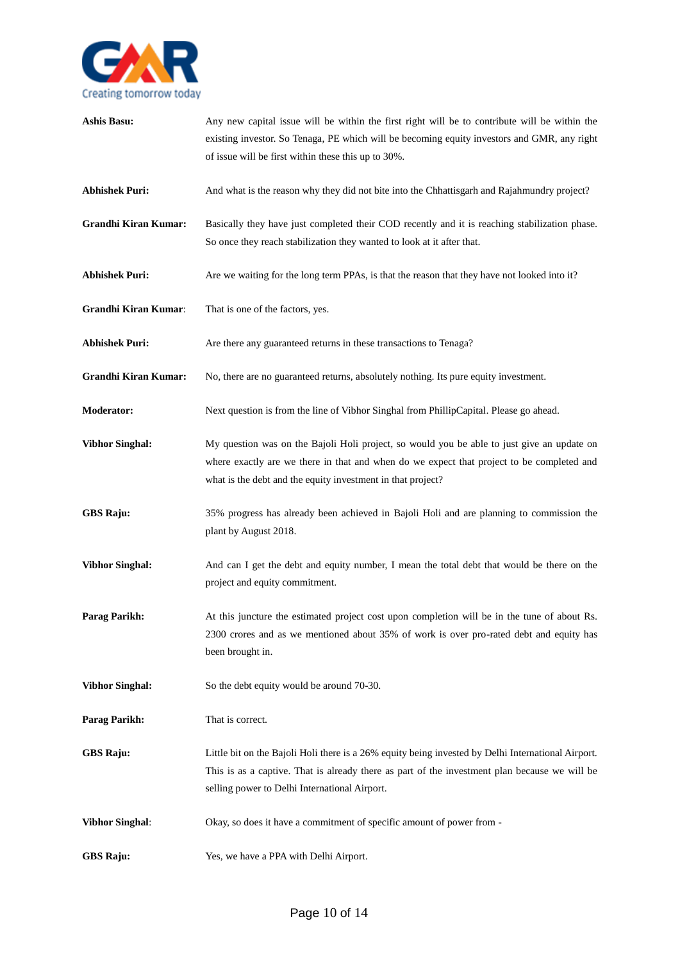

| <b>Ashis Basu:</b>          | Any new capital issue will be within the first right will be to contribute will be within the<br>existing investor. So Tenaga, PE which will be becoming equity investors and GMR, any right<br>of issue will be first within these this up to 30%.    |
|-----------------------------|--------------------------------------------------------------------------------------------------------------------------------------------------------------------------------------------------------------------------------------------------------|
| <b>Abhishek Puri:</b>       | And what is the reason why they did not bite into the Chhattisgarh and Rajahmundry project?                                                                                                                                                            |
| <b>Grandhi Kiran Kumar:</b> | Basically they have just completed their COD recently and it is reaching stabilization phase.<br>So once they reach stabilization they wanted to look at it after that.                                                                                |
| <b>Abhishek Puri:</b>       | Are we waiting for the long term PPAs, is that the reason that they have not looked into it?                                                                                                                                                           |
| <b>Grandhi Kiran Kumar:</b> | That is one of the factors, yes.                                                                                                                                                                                                                       |
| <b>Abhishek Puri:</b>       | Are there any guaranteed returns in these transactions to Tenaga?                                                                                                                                                                                      |
| <b>Grandhi Kiran Kumar:</b> | No, there are no guaranteed returns, absolutely nothing. Its pure equity investment.                                                                                                                                                                   |
| Moderator:                  | Next question is from the line of Vibhor Singhal from PhillipCapital. Please go ahead.                                                                                                                                                                 |
| <b>Vibhor Singhal:</b>      | My question was on the Bajoli Holi project, so would you be able to just give an update on<br>where exactly are we there in that and when do we expect that project to be completed and<br>what is the debt and the equity investment in that project? |
| <b>GBS Raju:</b>            | 35% progress has already been achieved in Bajoli Holi and are planning to commission the<br>plant by August 2018.                                                                                                                                      |
| <b>Vibhor Singhal:</b>      | And can I get the debt and equity number, I mean the total debt that would be there on the<br>project and equity commitment.                                                                                                                           |
| Parag Parikh:               | At this juncture the estimated project cost upon completion will be in the tune of about Rs.<br>2300 crores and as we mentioned about 35% of work is over pro-rated debt and equity has<br>been brought in.                                            |
| <b>Vibhor Singhal:</b>      | So the debt equity would be around 70-30.                                                                                                                                                                                                              |
| Parag Parikh:               | That is correct.                                                                                                                                                                                                                                       |
| <b>GBS Raju:</b>            | Little bit on the Bajoli Holi there is a 26% equity being invested by Delhi International Airport.<br>This is as a captive. That is already there as part of the investment plan because we will be<br>selling power to Delhi International Airport.   |
| <b>Vibhor Singhal:</b>      | Okay, so does it have a commitment of specific amount of power from -                                                                                                                                                                                  |
| <b>GBS Raju:</b>            | Yes, we have a PPA with Delhi Airport.                                                                                                                                                                                                                 |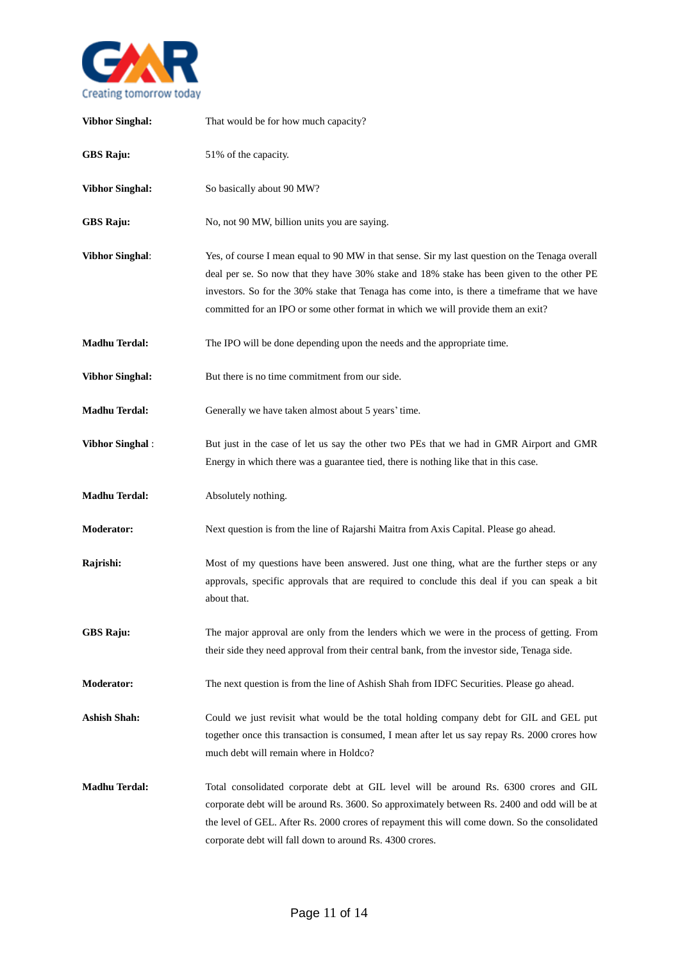

| <b>Vibhor Singhal:</b> | That would be for how much capacity?                                                                                                                                                                                                                                                                                                                                            |
|------------------------|---------------------------------------------------------------------------------------------------------------------------------------------------------------------------------------------------------------------------------------------------------------------------------------------------------------------------------------------------------------------------------|
| <b>GBS Raju:</b>       | 51% of the capacity.                                                                                                                                                                                                                                                                                                                                                            |
| <b>Vibhor Singhal:</b> | So basically about 90 MW?                                                                                                                                                                                                                                                                                                                                                       |
| <b>GBS Raju:</b>       | No, not 90 MW, billion units you are saying.                                                                                                                                                                                                                                                                                                                                    |
| <b>Vibhor Singhal:</b> | Yes, of course I mean equal to 90 MW in that sense. Sir my last question on the Tenaga overall<br>deal per se. So now that they have 30% stake and 18% stake has been given to the other PE<br>investors. So for the 30% stake that Tenaga has come into, is there a timeframe that we have<br>committed for an IPO or some other format in which we will provide them an exit? |
| <b>Madhu Terdal:</b>   | The IPO will be done depending upon the needs and the appropriate time.                                                                                                                                                                                                                                                                                                         |
| <b>Vibhor Singhal:</b> | But there is no time commitment from our side.                                                                                                                                                                                                                                                                                                                                  |
| <b>Madhu Terdal:</b>   | Generally we have taken almost about 5 years' time.                                                                                                                                                                                                                                                                                                                             |
| <b>Vibhor Singhal:</b> | But just in the case of let us say the other two PEs that we had in GMR Airport and GMR<br>Energy in which there was a guarantee tied, there is nothing like that in this case.                                                                                                                                                                                                 |
| <b>Madhu Terdal:</b>   | Absolutely nothing.                                                                                                                                                                                                                                                                                                                                                             |
| <b>Moderator:</b>      | Next question is from the line of Rajarshi Maitra from Axis Capital. Please go ahead.                                                                                                                                                                                                                                                                                           |
| Rajrishi:              | Most of my questions have been answered. Just one thing, what are the further steps or any<br>approvals, specific approvals that are required to conclude this deal if you can speak a bit<br>about that.                                                                                                                                                                       |
| <b>GBS Raju:</b>       | The major approval are only from the lenders which we were in the process of getting. From<br>their side they need approval from their central bank, from the investor side, Tenaga side.                                                                                                                                                                                       |
| <b>Moderator:</b>      | The next question is from the line of Ashish Shah from IDFC Securities. Please go ahead.                                                                                                                                                                                                                                                                                        |
| <b>Ashish Shah:</b>    | Could we just revisit what would be the total holding company debt for GIL and GEL put<br>together once this transaction is consumed, I mean after let us say repay Rs. 2000 crores how<br>much debt will remain where in Holdco?                                                                                                                                               |
| <b>Madhu Terdal:</b>   | Total consolidated corporate debt at GIL level will be around Rs. 6300 crores and GIL<br>corporate debt will be around Rs. 3600. So approximately between Rs. 2400 and odd will be at<br>the level of GEL. After Rs. 2000 crores of repayment this will come down. So the consolidated<br>corporate debt will fall down to around Rs. 4300 crores.                              |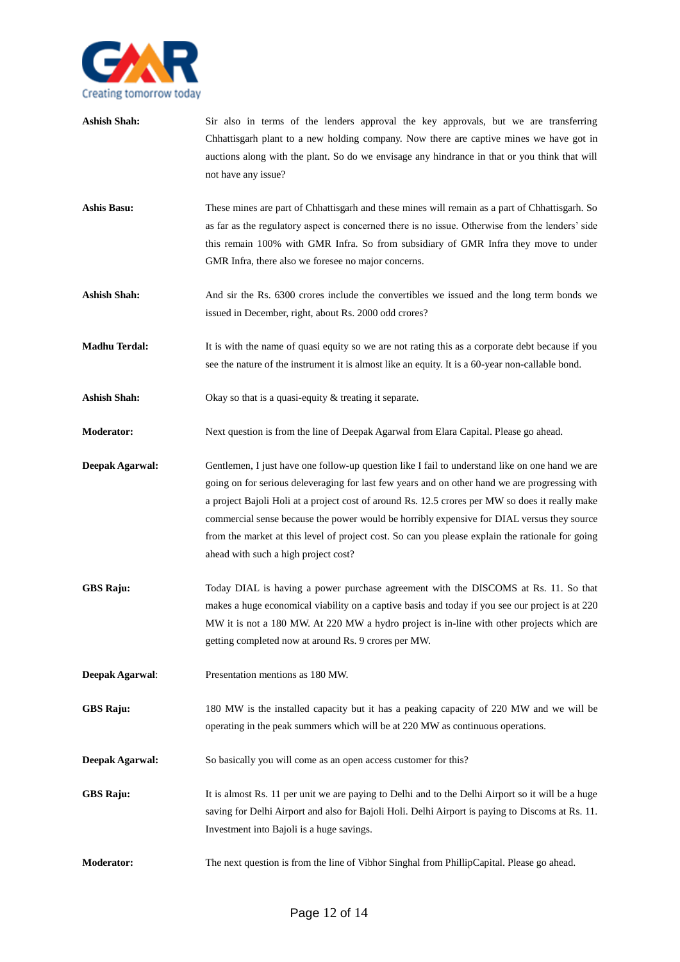

- Ashish Shah: Sir also in terms of the lenders approval the key approvals, but we are transferring Chhattisgarh plant to a new holding company. Now there are captive mines we have got in auctions along with the plant. So do we envisage any hindrance in that or you think that will not have any issue?
- **Ashis Basu:** These mines are part of Chhattisgarh and these mines will remain as a part of Chhattisgarh. So as far as the regulatory aspect is concerned there is no issue. Otherwise from the lenders' side this remain 100% with GMR Infra. So from subsidiary of GMR Infra they move to under GMR Infra, there also we foresee no major concerns.
- Ashish Shah: And sir the Rs. 6300 crores include the convertibles we issued and the long term bonds we issued in December, right, about Rs. 2000 odd crores?
- **Madhu Terdal:** It is with the name of quasi equity so we are not rating this as a corporate debt because if you see the nature of the instrument it is almost like an equity. It is a 60-year non-callable bond.
- Ashish Shah: Okay so that is a quasi-equity & treating it separate.
- **Moderator:** Next question is from the line of Deepak Agarwal from Elara Capital. Please go ahead.
- **Deepak Agarwal:** Gentlemen, I just have one follow-up question like I fail to understand like on one hand we are going on for serious deleveraging for last few years and on other hand we are progressing with a project Bajoli Holi at a project cost of around Rs. 12.5 crores per MW so does it really make commercial sense because the power would be horribly expensive for DIAL versus they source from the market at this level of project cost. So can you please explain the rationale for going ahead with such a high project cost?
- **GBS Raju:** Today DIAL is having a power purchase agreement with the DISCOMS at Rs. 11. So that makes a huge economical viability on a captive basis and today if you see our project is at 220 MW it is not a 180 MW. At 220 MW a hydro project is in-line with other projects which are getting completed now at around Rs. 9 crores per MW.
- **Deepak Agarwal**: Presentation mentions as 180 MW.
- **GBS Raju:** 180 MW is the installed capacity but it has a peaking capacity of 220 MW and we will be operating in the peak summers which will be at 220 MW as continuous operations.
- **Deepak Agarwal:** So basically you will come as an open access customer for this?
- **GBS Raju:** It is almost Rs. 11 per unit we are paying to Delhi and to the Delhi Airport so it will be a huge saving for Delhi Airport and also for Bajoli Holi. Delhi Airport is paying to Discoms at Rs. 11. Investment into Bajoli is a huge savings.
- **Moderator:** The next question is from the line of Vibhor Singhal from PhillipCapital. Please go ahead.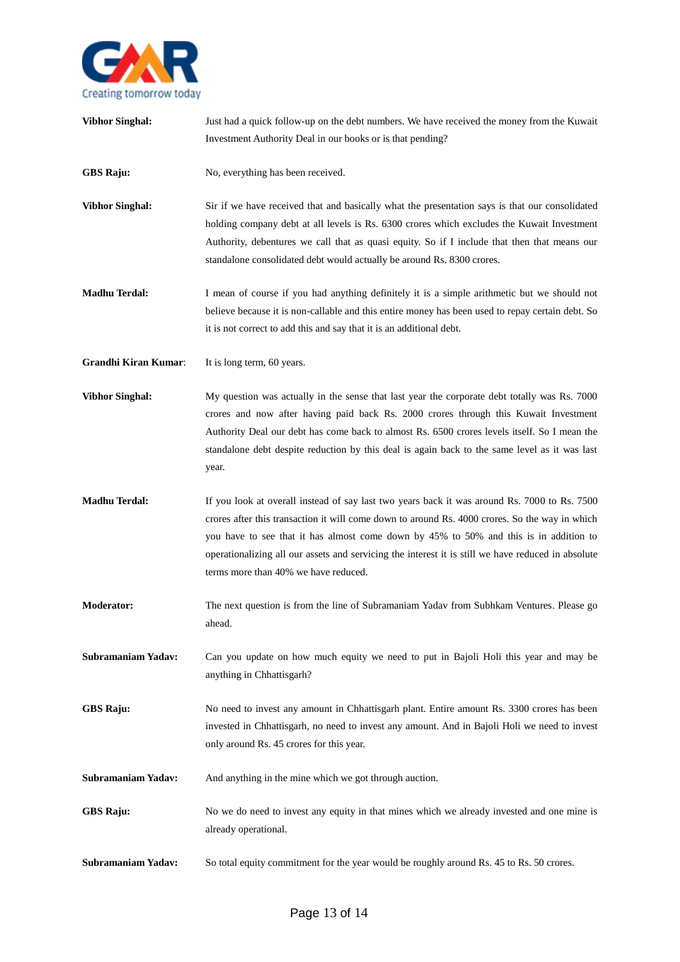

**Vibhor Singhal:** Just had a quick follow-up on the debt numbers. We have received the money from the Kuwait Investment Authority Deal in our books or is that pending? GBS Raju: No, everything has been received. **Vibhor Singhal:** Sir if we have received that and basically what the presentation says is that our consolidated holding company debt at all levels is Rs. 6300 crores which excludes the Kuwait Investment Authority, debentures we call that as quasi equity. So if I include that then that means our standalone consolidated debt would actually be around Rs. 8300 crores. **Madhu Terdal:** I mean of course if you had anything definitely it is a simple arithmetic but we should not believe because it is non-callable and this entire money has been used to repay certain debt. So it is not correct to add this and say that it is an additional debt. **Grandhi Kiran Kumar**: It is long term, 60 years. **Vibhor Singhal:** My question was actually in the sense that last year the corporate debt totally was Rs. 7000 crores and now after having paid back Rs. 2000 crores through this Kuwait Investment Authority Deal our debt has come back to almost Rs. 6500 crores levels itself. So I mean the standalone debt despite reduction by this deal is again back to the same level as it was last year. **Madhu Terdal:** If you look at overall instead of say last two years back it was around Rs. 7000 to Rs. 7500 crores after this transaction it will come down to around Rs. 4000 crores. So the way in which you have to see that it has almost come down by 45% to 50% and this is in addition to operationalizing all our assets and servicing the interest it is still we have reduced in absolute terms more than 40% we have reduced. **Moderator:** The next question is from the line of Subramaniam Yadav from Subhkam Ventures. Please go ahead. **Subramaniam Yadav:** Can you update on how much equity we need to put in Bajoli Holi this year and may be anything in Chhattisgarh? **GBS Raju:** No need to invest any amount in Chhattisgarh plant. Entire amount Rs. 3300 crores has been invested in Chhattisgarh, no need to invest any amount. And in Bajoli Holi we need to invest only around Rs. 45 crores for this year. **Subramaniam Yadav:** And anything in the mine which we got through auction. **GBS Raju:** No we do need to invest any equity in that mines which we already invested and one mine is already operational. **Subramaniam Yadav:** So total equity commitment for the year would be roughly around Rs. 45 to Rs. 50 crores.